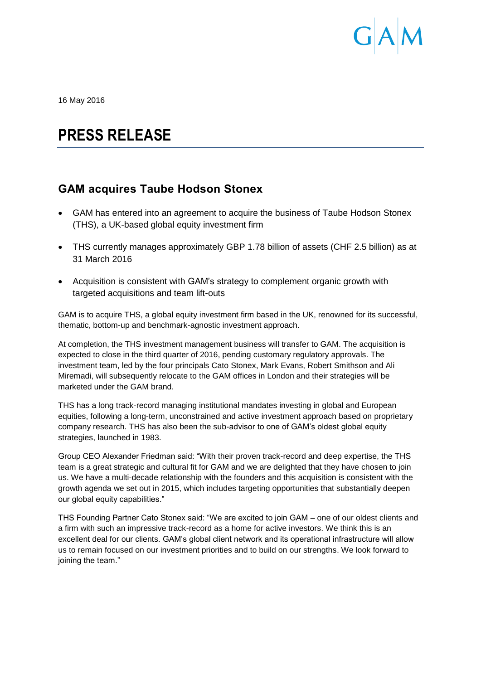

16 May 2016

# **PRESS RELEASE**

## **GAM acquires Taube Hodson Stonex**

- GAM has entered into an agreement to acquire the business of Taube Hodson Stonex (THS), a UK-based global equity investment firm
- THS currently manages approximately GBP 1.78 billion of assets (CHF 2.5 billion) as at 31 March 2016
- Acquisition is consistent with GAM's strategy to complement organic growth with targeted acquisitions and team lift-outs

GAM is to acquire THS, a global equity investment firm based in the UK, renowned for its successful, thematic, bottom-up and benchmark-agnostic investment approach.

At completion, the THS investment management business will transfer to GAM. The acquisition is expected to close in the third quarter of 2016, pending customary regulatory approvals. The investment team, led by the four principals Cato Stonex, Mark Evans, Robert Smithson and Ali Miremadi, will subsequently relocate to the GAM offices in London and their strategies will be marketed under the GAM brand.

THS has a long track-record managing institutional mandates investing in global and European equities, following a long-term, unconstrained and active investment approach based on proprietary company research. THS has also been the sub-advisor to one of GAM's oldest global equity strategies, launched in 1983.

Group CEO Alexander Friedman said: "With their proven track-record and deep expertise, the THS team is a great strategic and cultural fit for GAM and we are delighted that they have chosen to join us. We have a multi-decade relationship with the founders and this acquisition is consistent with the growth agenda we set out in 2015, which includes targeting opportunities that substantially deepen our global equity capabilities."

THS Founding Partner Cato Stonex said: "We are excited to join GAM – one of our oldest clients and a firm with such an impressive track-record as a home for active investors. We think this is an excellent deal for our clients. GAM's global client network and its operational infrastructure will allow us to remain focused on our investment priorities and to build on our strengths. We look forward to joining the team."